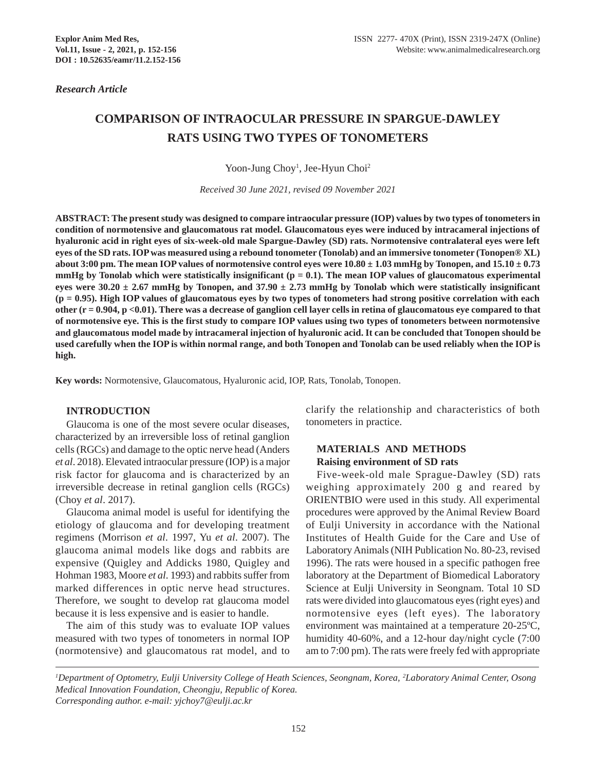*Research Article*

# **COMPARISON OF INTRAOCULAR PRESSURE IN SPARGUE-DAWLEY RATS USING TWO TYPES OF TONOMETERS**

Yoon-Jung Choy<sup>1</sup>, Jee-Hyun Choi<sup>2</sup>

*Received 30 June 2021, revised 09 November 2021*

**ABSTRACT: The present study was designed to compare intraocular pressure (IOP) values by two types of tonometers in condition of normotensive and glaucomatous rat model. Glaucomatous eyes were induced by intracameral injections of hyaluronic acid in right eyes of six-week-old male Spargue-Dawley (SD) rats. Normotensive contralateral eyes were left eyes of the SD rats. IOP was measured using a rebound tonometer (Tonolab) and an immersive tonometer (Tonopen® XL) about 3:00 pm. The mean IOP values of normotensive control eyes were**  $10.80 \pm 1.03$  **mmHg by Tonopen, and**  $15.10 \pm 0.73$ **mmHg by Tonolab which were statistically insignificant (p = 0.1). The mean IOP values of glaucomatous experimental** eyes were  $30.20 \pm 2.67$  mmHg by Tonopen, and  $37.90 \pm 2.73$  mmHg by Tonolab which were statistically insignificant **(p = 0.95). High IOP values of glaucomatous eyes by two types of tonometers had strong positive correlation with each other (r = 0.904, p <0.01). There was a decrease of ganglion cell layer cells in retina of glaucomatous eye compared to that of normotensive eye. This is the first study to compare IOP values using two types of tonometers between normotensive and glaucomatous model made by intracameral injection of hyaluronic acid. It can be concluded that Tonopen should be used carefully when the IOP is within normal range, and both Tonopen and Tonolab can be used reliably when the IOP is high.**

**Key words:** Normotensive, Glaucomatous, Hyaluronic acid, IOP, Rats, Tonolab, Tonopen.

#### **INTRODUCTION**

Glaucoma is one of the most severe ocular diseases, characterized by an irreversible loss of retinal ganglion cells (RGCs) and damage to the optic nerve head (Anders *et al*. 2018). Elevated intraocular pressure (IOP) is a major risk factor for glaucoma and is characterized by an irreversible decrease in retinal ganglion cells (RGCs) (Choy *et al*. 2017).

Glaucoma animal model is useful for identifying the etiology of glaucoma and for developing treatment regimens (Morrison *et al*. 1997, Yu *et al*. 2007). The glaucoma animal models like dogs and rabbits are expensive (Quigley and Addicks 1980, Quigley and Hohman 1983, Moore *et al*. 1993) and rabbits suffer from marked differences in optic nerve head structures. Therefore, we sought to develop rat glaucoma model because it is less expensive and is easier to handle.

The aim of this study was to evaluate IOP values measured with two types of tonometers in normal IOP (normotensive) and glaucomatous rat model, and to

clarify the relationship and characteristics of both tonometers in practice.

## **MATERIALS AND METHODS Raising environment of SD rats**

Five-week-old male Sprague-Dawley (SD) rats weighing approximately 200 g and reared by ORIENTBIO were used in this study. All experimental procedures were approved by the Animal Review Board of Eulji University in accordance with the National Institutes of Health Guide for the Care and Use of Laboratory Animals (NIH Publication No. 80-23, revised 1996). The rats were housed in a specific pathogen free laboratory at the Department of Biomedical Laboratory Science at Eulji University in Seongnam. Total 10 SD rats were divided into glaucomatous eyes (right eyes) and normotensive eyes (left eyes). The laboratory environment was maintained at a temperature 20-25ºC, humidity 40-60%, and a 12-hour day/night cycle (7:00 am to 7:00 pm). The rats were freely fed with appropriate

*1 Department of Optometry, Eulji University College of Heath Sciences, Seongnam, Korea, 2 Laboratory Animal Center, Osong Medical Innovation Foundation, Cheongju, Republic of Korea. Corresponding author. e-mail: yjchoy7@eulji.ac.kr*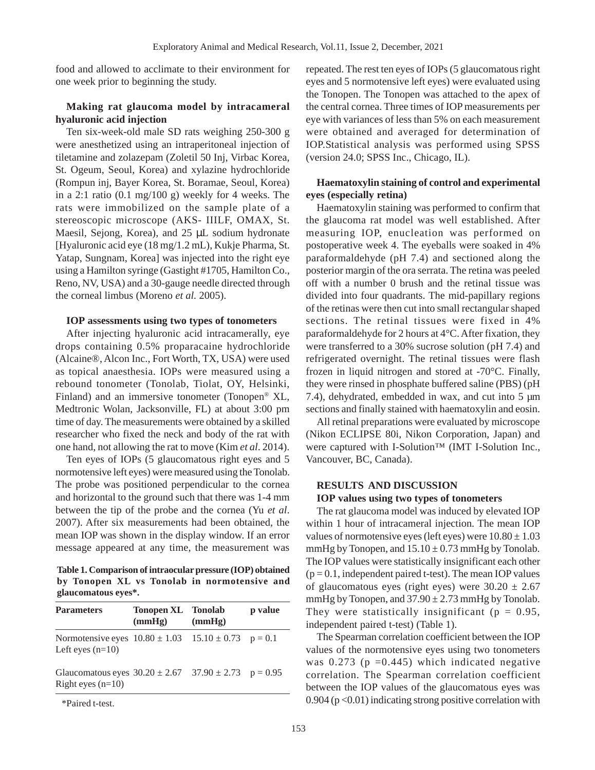food and allowed to acclimate to their environment for one week prior to beginning the study.

## **Making rat glaucoma model by intracameral hyaluronic acid injection**

Ten six-week-old male SD rats weighing 250-300 g were anesthetized using an intraperitoneal injection of tiletamine and zolazepam (Zoletil 50 Inj, Virbac Korea, St. Ogeum, Seoul, Korea) and xylazine hydrochloride (Rompun inj, Bayer Korea, St. Boramae, Seoul, Korea) in a 2:1 ratio  $(0.1 \text{ mg}/100 \text{ g})$  weekly for 4 weeks. The rats were immobilized on the sample plate of a stereoscopic microscope (AKS- IIILF, OMAX, St. Maesil, Sejong, Korea), and 25 µL sodium hydronate [Hyaluronic acid eye (18 mg/1.2 mL), Kukje Pharma, St. Yatap, Sungnam, Korea] was injected into the right eye using a Hamilton syringe (Gastight #1705, Hamilton Co., Reno, NV, USA) and a 30-gauge needle directed through the corneal limbus (Moreno *et al.* 2005).

## **IOP assessments using two types of tonometers**

After injecting hyaluronic acid intracamerally, eye drops containing 0.5% proparacaine hydrochloride (Alcaine®, Alcon Inc., Fort Worth, TX, USA) were used as topical anaesthesia. IOPs were measured using a rebound tonometer (Tonolab, Tiolat, OY, Helsinki, Finland) and an immersive tonometer (Tonopen® XL, Medtronic Wolan, Jacksonville, FL) at about 3:00 pm time of day. The measurements were obtained by a skilled researcher who fixed the neck and body of the rat with one hand, not allowing the rat to move (Kim *et al*. 2014).

Ten eyes of IOPs (5 glaucomatous right eyes and 5 normotensive left eyes) were measured using the Tonolab. The probe was positioned perpendicular to the cornea and horizontal to the ground such that there was 1-4 mm between the tip of the probe and the cornea (Yu *et al*. 2007). After six measurements had been obtained, the mean IOP was shown in the display window. If an error message appeared at any time, the measurement was

**Table 1. Comparison of intraocular pressure (IOP) obtained by Tonopen XL vs Tonolab in normotensive and glaucomatous eyes\*.**

| <b>Parameters</b>                                                                     | <b>Tonopen XL</b> Tonolab<br>(mmHg) | (mmHg) | p value |
|---------------------------------------------------------------------------------------|-------------------------------------|--------|---------|
| Normotensive eyes $10.80 \pm 1.03$ $15.10 \pm 0.73$ $p = 0.1$<br>Left eyes $(n=10)$   |                                     |        |         |
| Glaucomatous eyes $30.20 \pm 2.67$ $37.90 \pm 2.73$ $p = 0.95$<br>Right eyes $(n=10)$ |                                     |        |         |

\*Paired t-test.

repeated. The rest ten eyes of IOPs (5 glaucomatous right eyes and 5 normotensive left eyes) were evaluated using the Tonopen. The Tonopen was attached to the apex of the central cornea. Three times of IOP measurements per eye with variances of less than 5% on each measurement were obtained and averaged for determination of IOP.Statistical analysis was performed using SPSS (version 24.0; SPSS Inc., Chicago, IL).

## **Haematoxylin staining of control and experimental eyes (especially retina)**

Haematoxylin staining was performed to confirm that the glaucoma rat model was well established. After measuring IOP, enucleation was performed on postoperative week 4. The eyeballs were soaked in 4% paraformaldehyde (pH 7.4) and sectioned along the posterior margin of the ora serrata. The retina was peeled off with a number 0 brush and the retinal tissue was divided into four quadrants. The mid-papillary regions of the retinas were then cut into small rectangular shaped sections. The retinal tissues were fixed in 4% paraformaldehyde for 2 hours at 4°C. After fixation, they were transferred to a 30% sucrose solution (pH 7.4) and refrigerated overnight. The retinal tissues were flash frozen in liquid nitrogen and stored at -70°C. Finally, they were rinsed in phosphate buffered saline (PBS) (pH 7.4), dehydrated, embedded in wax, and cut into 5 µm sections and finally stained with haematoxylin and eosin.

All retinal preparations were evaluated by microscope (Nikon ECLIPSE 80i, Nikon Corporation, Japan) and were captured with I-Solution™ (IMT I-Solution Inc., Vancouver, BC, Canada).

## **RESULTS AND DISCUSSION**

#### **IOP values using two types of tonometers**

The rat glaucoma model was induced by elevated IOP within 1 hour of intracameral injection. The mean IOP values of normotensive eyes (left eyes) were  $10.80 \pm 1.03$ mmHg by Tonopen, and  $15.10 \pm 0.73$  mmHg by Tonolab. The IOP values were statistically insignificant each other  $(p = 0.1$ , independent paired t-test). The mean IOP values of glaucomatous eyes (right eyes) were  $30.20 \pm 2.67$ mmHg by Tonopen, and  $37.90 \pm 2.73$  mmHg by Tonolab. They were statistically insignificant ( $p = 0.95$ , independent paired t-test) (Table 1).

The Spearman correlation coefficient between the IOP values of the normotensive eyes using two tonometers was  $0.273$  (p = 0.445) which indicated negative correlation. The Spearman correlation coefficient between the IOP values of the glaucomatous eyes was  $0.904$  ( $p < 0.01$ ) indicating strong positive correlation with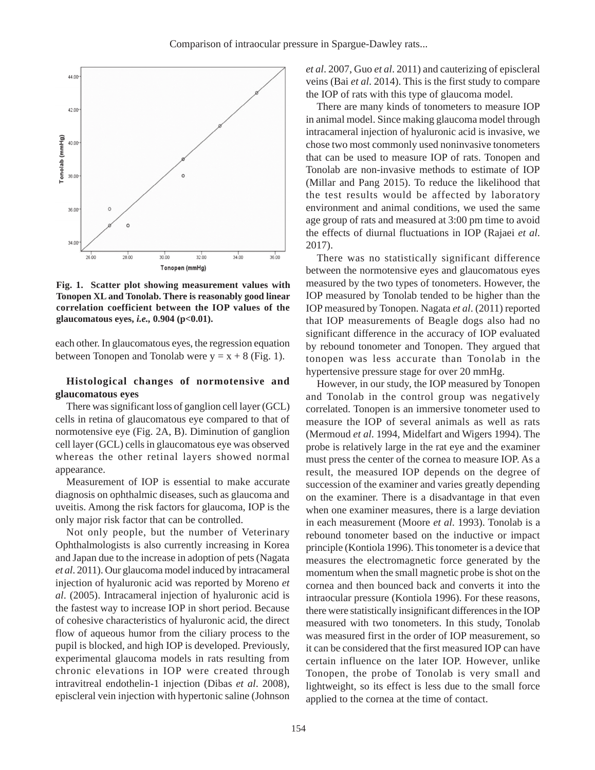

**Fig. 1. Scatter plot showing measurement values with Tonopen XL and Tonolab. There is reasonably good linear correlation coefficient between the IOP values of the glaucomatous eyes,** *i.e.,* **0.904 (p<0.01).**

each other. In glaucomatous eyes, the regression equation between Tonopen and Tonolab were  $y = x + 8$  (Fig. 1).

## **Histological changes of normotensive and glaucomatous eyes**

There was significant loss of ganglion cell layer (GCL) cells in retina of glaucomatous eye compared to that of normotensive eye (Fig. 2A, B). Diminution of ganglion cell layer (GCL) cells in glaucomatous eye was observed whereas the other retinal layers showed normal appearance.

Measurement of IOP is essential to make accurate diagnosis on ophthalmic diseases, such as glaucoma and uveitis. Among the risk factors for glaucoma, IOP is the only major risk factor that can be controlled.

Not only people, but the number of Veterinary Ophthalmologists is also currently increasing in Korea and Japan due to the increase in adoption of pets (Nagata *et al*. 2011). Our glaucoma model induced by intracameral injection of hyaluronic acid was reported by Moreno *et al*. (2005). Intracameral injection of hyaluronic acid is the fastest way to increase IOP in short period. Because of cohesive characteristics of hyaluronic acid, the direct flow of aqueous humor from the ciliary process to the pupil is blocked, and high IOP is developed. Previously, experimental glaucoma models in rats resulting from chronic elevations in IOP were created through intravitreal endothelin-1 injection (Dibas *et al*. 2008), episcleral vein injection with hypertonic saline (Johnson

*et al*. 2007, Guo *et al*. 2011) and cauterizing of episcleral veins (Bai *et al*. 2014). This is the first study to compare the IOP of rats with this type of glaucoma model.

There are many kinds of tonometers to measure IOP in animal model. Since making glaucoma model through intracameral injection of hyaluronic acid is invasive, we chose two most commonly used noninvasive tonometers that can be used to measure IOP of rats. Tonopen and Tonolab are non-invasive methods to estimate of IOP (Millar and Pang 2015). To reduce the likelihood that the test results would be affected by laboratory environment and animal conditions, we used the same age group of rats and measured at 3:00 pm time to avoid the effects of diurnal fluctuations in IOP (Rajaei *et al*. 2017).

There was no statistically significant difference between the normotensive eyes and glaucomatous eyes measured by the two types of tonometers. However, the IOP measured by Tonolab tended to be higher than the IOP measured by Tonopen. Nagata *et al*. (2011) reported that IOP measurements of Beagle dogs also had no significant difference in the accuracy of IOP evaluated by rebound tonometer and Tonopen. They argued that tonopen was less accurate than Tonolab in the hypertensive pressure stage for over 20 mmHg.

However, in our study, the IOP measured by Tonopen and Tonolab in the control group was negatively correlated. Tonopen is an immersive tonometer used to measure the IOP of several animals as well as rats (Mermoud *et al*. 1994, Midelfart and Wigers 1994). The probe is relatively large in the rat eye and the examiner must press the center of the cornea to measure IOP. As a result, the measured IOP depends on the degree of succession of the examiner and varies greatly depending on the examiner. There is a disadvantage in that even when one examiner measures, there is a large deviation in each measurement (Moore *et al*. 1993). Tonolab is a rebound tonometer based on the inductive or impact principle (Kontiola 1996). This tonometer is a device that measures the electromagnetic force generated by the momentum when the small magnetic probe is shot on the cornea and then bounced back and converts it into the intraocular pressure (Kontiola 1996). For these reasons, there were statistically insignificant differences in the IOP measured with two tonometers. In this study, Tonolab was measured first in the order of IOP measurement, so it can be considered that the first measured IOP can have certain influence on the later IOP. However, unlike Tonopen, the probe of Tonolab is very small and lightweight, so its effect is less due to the small force applied to the cornea at the time of contact.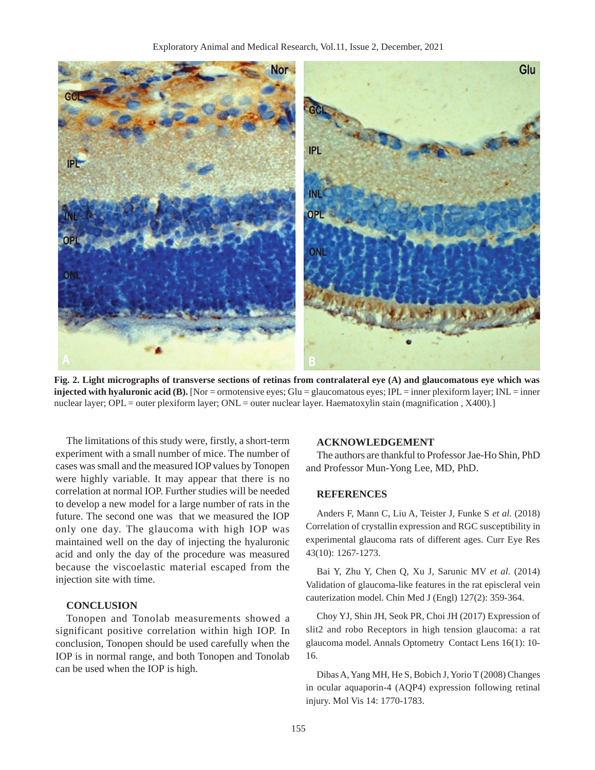

**Fig. 2. Light micrographs of transverse sections of retinas from contralateral eye (A) and glaucomatous eye which was injected with hyaluronic acid (B).** [Nor = ormotensive eyes; Glu = glaucomatous eyes; IPL = inner plexiform layer; INL = inner nuclear layer; OPL = outer plexiform layer; ONL = outer nuclear layer. Haematoxylin stain (magnification, X400).]

The limitations of this study were, firstly, a short-term experiment with a small number of mice. The number of cases was small and the measured IOP values by Tonopen were highly variable. It may appear that there is no correlation at normal IOP. Further studies will be needed to develop a new model for a large number of rats in the future. The second one was that we measured the IOP only one day. The glaucoma with high IOP was maintained well on the day of injecting the hyaluronic acid and only the day of the procedure was measured because the viscoelastic material escaped from the injection site with time.

## **CONCLUSION**

Tonopen and Tonolab measurements showed a significant positive correlation within high IOP. In conclusion, Tonopen should be used carefully when the IOP is in normal range, and both Tonopen and Tonolab can be used when the IOP is high.

#### **ACKNOWLEDGEMENT**

The authors are thankful to Professor Jae-Ho Shin, PhD and Professor Mun-Yong Lee, MD, PhD.

#### **REFERENCES**

Anders F, Mann C, Liu A, Teister J, Funke S *et al.* (2018) Correlation of crystallin expression and RGC susceptibility in experimental glaucoma rats of different ages. Curr Eye Res 43(10): 1267-1273.

Bai Y, Zhu Y, Chen Q, Xu J, Sarunic MV *et al.* (2014) Validation of glaucoma-like features in the rat episcleral vein cauterization model. Chin Med J (Engl) 127(2): 359-364.

Choy YJ, Shin JH, Seok PR, Choi JH (2017) Expression of slit2 and robo Receptors in high tension glaucoma: a rat glaucoma model. Annals Optometry Contact Lens 16(1): 10- 16.

Dibas A, Yang MH, He S, Bobich J, Yorio T (2008) Changes in ocular aquaporin-4 (AQP4) expression following retinal injury. Mol Vis 14: 1770-1783.